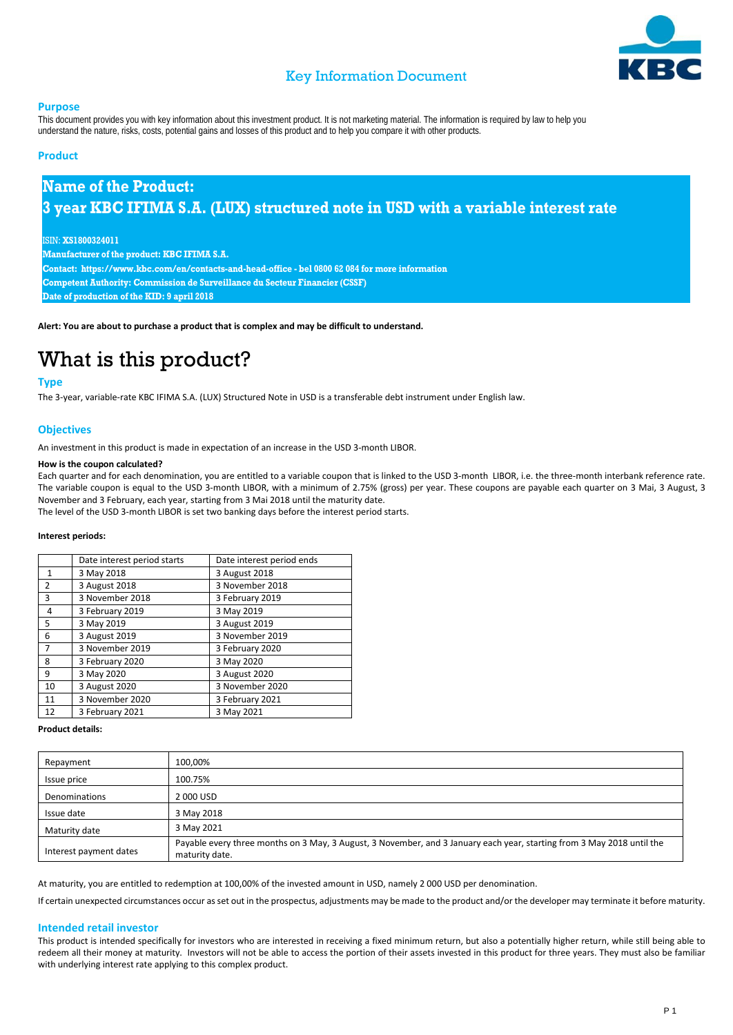

## Key Information Document

#### **Purpose**

This document provides you with key information about this investment product. It is not marketing material. The information is required by law to help you understand the nature, risks, costs, potential gains and losses of this product and to help you compare it with other products.

### **Product**

## **Name of the Product: 3 year KBC IFIMA S.A. (LUX) structured note in USD with a variable interest rate**

#### ISIN: **XS1800324011**

**Manufacturer of the product: KBC IFIMA S.A. Contact: https://www.kbc.com/en/contacts-and-head-office - bel 0800 62 084 for more information Competent Authority: Commission de Surveillance du Secteur Financier (CSSF) Date of production of the KID: 9 april 2018**

**Alert: You are about to purchase a product that is complex and may be difficult to understand.**

# What is this product?

### **Type**

The 3-year, variable-rate KBC IFIMA S.A. (LUX) Structured Note in USD is a transferable debt instrument under English law.

### **Objectives**

An investment in this product is made in expectation of an increase in the USD 3-month LIBOR.

#### **How is the coupon calculated?**

Each quarter and for each denomination, you are entitled to a variable coupon that is linked to the USD 3-month LIBOR, i.e. the three-month interbank reference rate. The variable coupon is equal to the USD 3-month LIBOR, with a minimum of 2.75% (gross) per year. These coupons are payable each quarter on 3 Mai, 3 August, 3 November and 3 February, each year, starting from 3 Mai 2018 until the maturity date.

The level of the USD 3-month LIBOR is set two banking days before the interest period starts.

#### **Interest periods:**

|                | Date interest period starts | Date interest period ends |
|----------------|-----------------------------|---------------------------|
| 1              | 3 May 2018                  | 3 August 2018             |
| 2              | 3 August 2018               | 3 November 2018           |
| 3              | 3 November 2018             | 3 February 2019           |
| 4              | 3 February 2019             | 3 May 2019                |
| 5              | 3 May 2019                  | 3 August 2019             |
| 6              | 3 August 2019               | 3 November 2019           |
| $\overline{7}$ | 3 November 2019             | 3 February 2020           |
| 8              | 3 February 2020             | 3 May 2020                |
| 9              | 3 May 2020                  | 3 August 2020             |
| 10             | 3 August 2020               | 3 November 2020           |
| 11             | 3 November 2020             | 3 February 2021           |
| 12             | 3 February 2021             | 3 May 2021                |

#### **Product details:**

| Repayment              | 100,00%                                                                                                                                  |
|------------------------|------------------------------------------------------------------------------------------------------------------------------------------|
| Issue price            | 100.75%                                                                                                                                  |
| Denominations          | 2000 USD                                                                                                                                 |
| Issue date             | 3 May 2018                                                                                                                               |
| Maturity date          | 3 May 2021                                                                                                                               |
| Interest payment dates | Payable every three months on 3 May, 3 August, 3 November, and 3 January each year, starting from 3 May 2018 until the<br>maturity date. |

At maturity, you are entitled to redemption at 100,00% of the invested amount in USD, namely 2 000 USD per denomination.

If certain unexpected circumstances occur as set out in the prospectus, adjustments may be made to the product and/or the developer may terminate it before maturity.

#### **Intended retail investor**

This product is intended specifically for investors who are interested in receiving a fixed minimum return, but also a potentially higher return, while still being able to redeem all their money at maturity. Investors will not be able to access the portion of their assets invested in this product for three years. They must also be familiar with underlying interest rate applying to this complex product.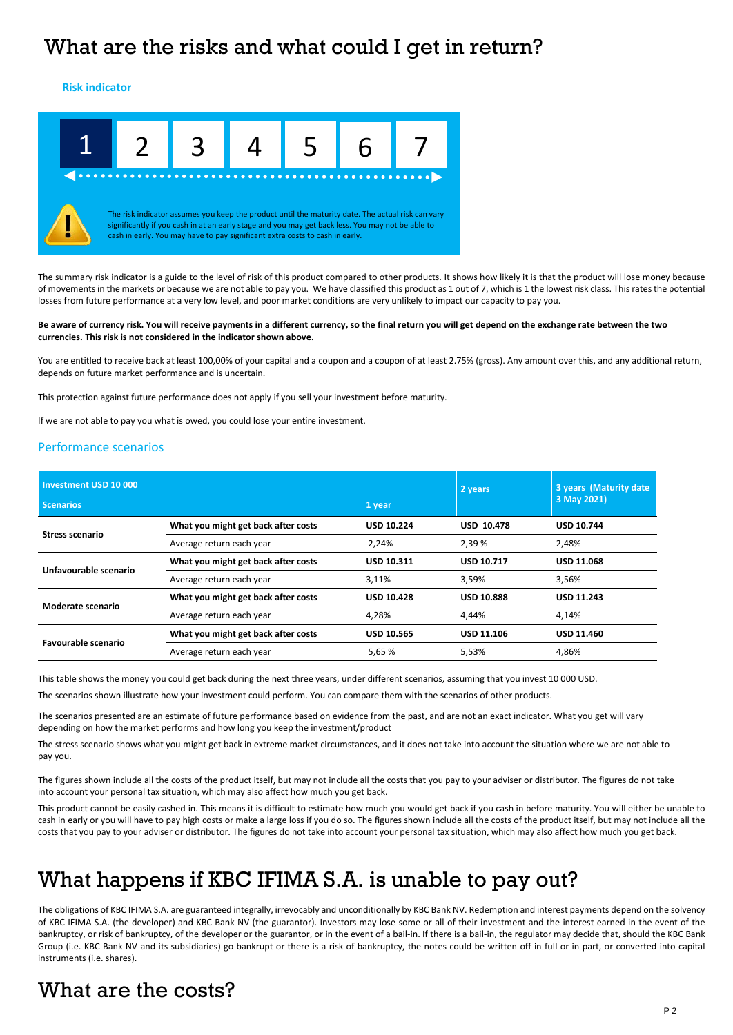# What are the risks and what could I get in return?

**Risk indicator**



The summary risk indicator is a guide to the level of risk of this product compared to other products. It shows how likely it is that the product will lose money because of movements in the markets or because we are not able to pay you. We have classified this product as 1 out of 7, which is 1 the lowest risk class. This rates the potential losses from future performance at a very low level, and poor market conditions are very unlikely to impact our capacity to pay you.

#### **Be aware of currency risk. You will receive payments in a different currency, so the final return you will get depend on the exchange rate between the two currencies. This risk is not considered in the indicator shown above.**

You are entitled to receive back at least 100,00% of your capital and a coupon and a coupon of at least 2.75% (gross). Any amount over this, and any additional return, depends on future market performance and is uncertain.

This protection against future performance does not apply if you sell your investment before maturity.

If we are not able to pay you what is owed, you could lose your entire investment.

### Performance scenarios

| Investment USD 10 000<br><b>Scenarios</b> |                                     | 1 year            | 2 years           | 3 years (Maturity date)<br>3 May 2021) |
|-------------------------------------------|-------------------------------------|-------------------|-------------------|----------------------------------------|
| <b>Stress scenario</b>                    | What you might get back after costs | <b>USD 10.224</b> | <b>USD 10.478</b> | <b>USD 10.744</b>                      |
|                                           | Average return each year            | 2,24%             | 2,39 %            | 2,48%                                  |
| Unfavourable scenario                     | What you might get back after costs | <b>USD 10.311</b> | <b>USD 10.717</b> | <b>USD 11.068</b>                      |
|                                           | Average return each year            | 3,11%             | 3,59%             | 3,56%                                  |
| Moderate scenario                         | What you might get back after costs | <b>USD 10.428</b> | <b>USD 10.888</b> | <b>USD 11.243</b>                      |
|                                           | Average return each year            | 4,28%             | 4.44%             | 4.14%                                  |
| <b>Favourable scenario</b>                | What you might get back after costs | <b>USD 10.565</b> | <b>USD 11.106</b> | <b>USD 11.460</b>                      |
|                                           | Average return each year            | 5.65 %            | 5.53%             | 4.86%                                  |

This table shows the money you could get back during the next three years, under different scenarios, assuming that you invest 10 000 USD.

The scenarios shown illustrate how your investment could perform. You can compare them with the scenarios of other products.

The scenarios presented are an estimate of future performance based on evidence from the past, and are not an exact indicator. What you get will vary depending on how the market performs and how long you keep the investment/product

The stress scenario shows what you might get back in extreme market circumstances, and it does not take into account the situation where we are not able to pay you.

The figures shown include all the costs of the product itself, but may not include all the costs that you pay to your adviser or distributor. The figures do not take into account your personal tax situation, which may also affect how much you get back.

This product cannot be easily cashed in. This means it is difficult to estimate how much you would get back if you cash in before maturity. You will either be unable to cash in early or you will have to pay high costs or make a large loss if you do so. The figures shown include all the costs of the product itself, but may not include all the costs that you pay to your adviser or distributor. The figures do not take into account your personal tax situation, which may also affect how much you get back.

# What happens if KBC IFIMA S.A. is unable to pay out?

The obligations of KBC IFIMA S.A. are guaranteed integrally, irrevocably and unconditionally by KBC Bank NV. Redemption and interest payments depend on the solvency of KBC IFIMA S.A. (the developer) and KBC Bank NV (the guarantor). Investors may lose some or all of their investment and the interest earned in the event of the bankruptcy, or risk of bankruptcy, of the developer or the guarantor, or in the event of a bail-in. If there is a bail-in, the regulator may decide that, should the KBC Bank Group (i.e. KBC Bank NV and its subsidiaries) go bankrupt or there is a risk of bankruptcy, the notes could be written off in full or in part, or converted into capital instruments (i.e. shares).

# What are the costs?